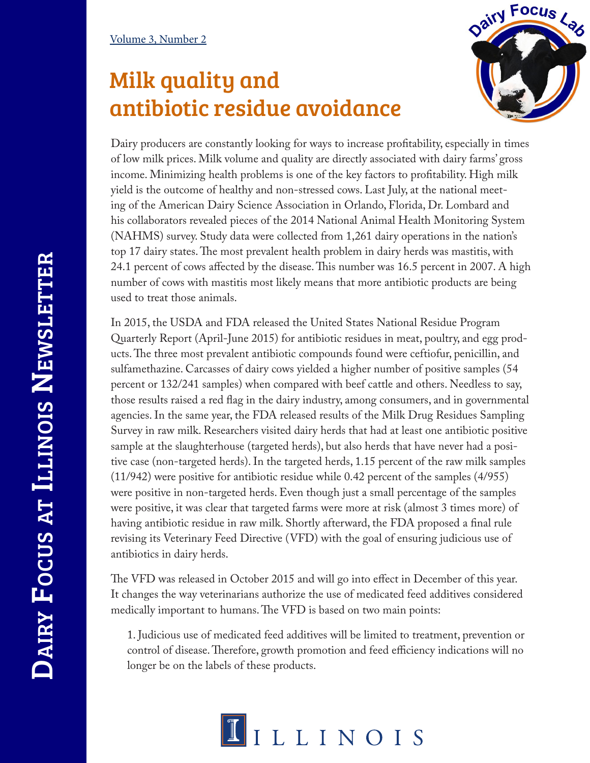## Milk quality and antibiotic residue avoidance



Dairy producers are constantly looking for ways to increase profitability, especially in times of low milk prices. Milk volume and quality are directly associated with dairy farms' gross income. Minimizing health problems is one of the key factors to profitability. High milk yield is the outcome of healthy and non-stressed cows. Last July, at the national meeting of the American Dairy Science Association in Orlando, Florida, Dr. Lombard and his collaborators revealed pieces of the 2014 National Animal Health Monitoring System (NAHMS) survey. Study data were collected from 1,261 dairy operations in the nation's top 17 dairy states. The most prevalent health problem in dairy herds was mastitis, with 24.1 percent of cows affected by the disease. This number was 16.5 percent in 2007. A high number of cows with mastitis most likely means that more antibiotic products are being used to treat those animals.

In 2015, the USDA and FDA released the United States National Residue Program Quarterly Report (April-June 2015) for antibiotic residues in meat, poultry, and egg products. The three most prevalent antibiotic compounds found were ceftiofur, penicillin, and sulfamethazine. Carcasses of dairy cows yielded a higher number of positive samples (54 percent or 132/241 samples) when compared with beef cattle and others. Needless to say, those results raised a red flag in the dairy industry, among consumers, and in governmental agencies. In the same year, the FDA released results of the Milk Drug Residues Sampling Survey in raw milk. Researchers visited dairy herds that had at least one antibiotic positive sample at the slaughterhouse (targeted herds), but also herds that have never had a positive case (non-targeted herds). In the targeted herds, 1.15 percent of the raw milk samples (11/942) were positive for antibiotic residue while 0.42 percent of the samples (4/955) were positive in non-targeted herds. Even though just a small percentage of the samples were positive, it was clear that targeted farms were more at risk (almost 3 times more) of having antibiotic residue in raw milk. Shortly afterward, the FDA proposed a final rule revising its Veterinary Feed Directive (VFD) with the goal of ensuring judicious use of antibiotics in dairy herds.

The VFD was released in October 2015 and will go into effect in December of this year. It changes the way veterinarians authorize the use of medicated feed additives considered medically important to humans. The VFD is based on two main points:

1. Judicious use of medicated feed additives will be limited to treatment, prevention or control of disease. Therefore, growth promotion and feed efficiency indications will no longer be on the labels of these products.

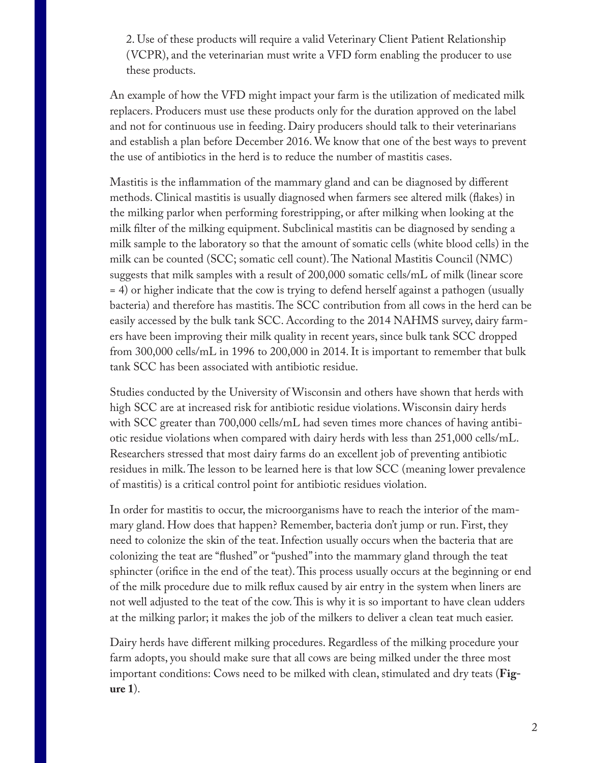2. Use of these products will require a valid Veterinary Client Patient Relationship (VCPR), and the veterinarian must write a VFD form enabling the producer to use these products.

An example of how the VFD might impact your farm is the utilization of medicated milk replacers. Producers must use these products only for the duration approved on the label and not for continuous use in feeding. Dairy producers should talk to their veterinarians and establish a plan before December 2016. We know that one of the best ways to prevent the use of antibiotics in the herd is to reduce the number of mastitis cases.

Mastitis is the inflammation of the mammary gland and can be diagnosed by different methods. Clinical mastitis is usually diagnosed when farmers see altered milk (flakes) in the milking parlor when performing forestripping, or after milking when looking at the milk filter of the milking equipment. Subclinical mastitis can be diagnosed by sending a milk sample to the laboratory so that the amount of somatic cells (white blood cells) in the milk can be counted (SCC; somatic cell count). The National Mastitis Council (NMC) suggests that milk samples with a result of 200,000 somatic cells/mL of milk (linear score = 4) or higher indicate that the cow is trying to defend herself against a pathogen (usually bacteria) and therefore has mastitis. The SCC contribution from all cows in the herd can be easily accessed by the bulk tank SCC. According to the 2014 NAHMS survey, dairy farmers have been improving their milk quality in recent years, since bulk tank SCC dropped from 300,000 cells/mL in 1996 to 200,000 in 2014. It is important to remember that bulk tank SCC has been associated with antibiotic residue.

Studies conducted by the University of Wisconsin and others have shown that herds with high SCC are at increased risk for antibiotic residue violations. Wisconsin dairy herds with SCC greater than 700,000 cells/mL had seven times more chances of having antibiotic residue violations when compared with dairy herds with less than 251,000 cells/mL. Researchers stressed that most dairy farms do an excellent job of preventing antibiotic residues in milk. The lesson to be learned here is that low SCC (meaning lower prevalence of mastitis) is a critical control point for antibiotic residues violation.

In order for mastitis to occur, the microorganisms have to reach the interior of the mammary gland. How does that happen? Remember, bacteria don't jump or run. First, they need to colonize the skin of the teat. Infection usually occurs when the bacteria that are colonizing the teat are "flushed" or "pushed" into the mammary gland through the teat sphincter (orifice in the end of the teat). This process usually occurs at the beginning or end of the milk procedure due to milk reflux caused by air entry in the system when liners are not well adjusted to the teat of the cow. This is why it is so important to have clean udders at the milking parlor; it makes the job of the milkers to deliver a clean teat much easier.

Dairy herds have different milking procedures. Regardless of the milking procedure your farm adopts, you should make sure that all cows are being milked under the three most important conditions: Cows need to be milked with clean, stimulated and dry teats (**Figure 1**).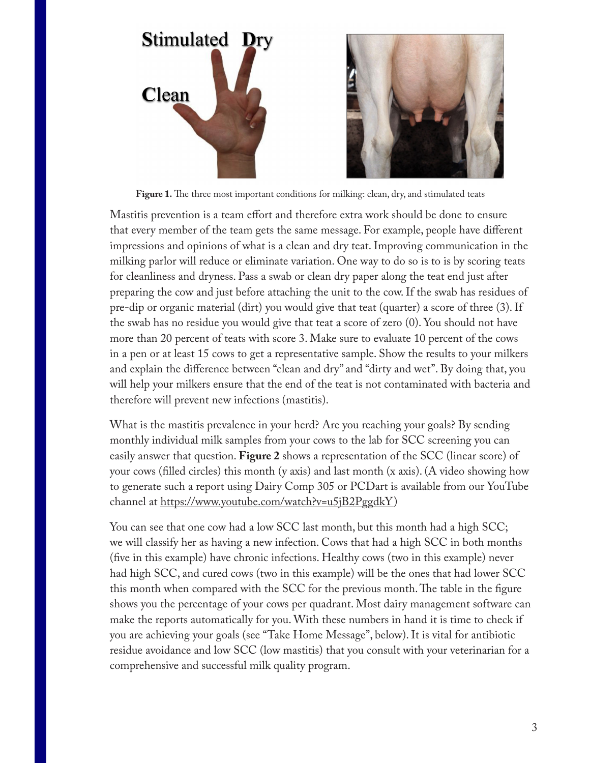

Figure 1. The three most important conditions for milking: clean, dry, and stimulated teats

Mastitis prevention is a team effort and therefore extra work should be done to ensure that every member of the team gets the same message. For example, people have different impressions and opinions of what is a clean and dry teat. Improving communication in the milking parlor will reduce or eliminate variation. One way to do so is to is by scoring teats for cleanliness and dryness. Pass a swab or clean dry paper along the teat end just after preparing the cow and just before attaching the unit to the cow. If the swab has residues of pre-dip or organic material (dirt) you would give that teat (quarter) a score of three (3). If the swab has no residue you would give that teat a score of zero (0). You should not have more than 20 percent of teats with score 3. Make sure to evaluate 10 percent of the cows in a pen or at least 15 cows to get a representative sample. Show the results to your milkers and explain the difference between "clean and dry" and "dirty and wet". By doing that, you will help your milkers ensure that the end of the teat is not contaminated with bacteria and therefore will prevent new infections (mastitis).

What is the mastitis prevalence in your herd? Are you reaching your goals? By sending monthly individual milk samples from your cows to the lab for SCC screening you can easily answer that question. **Figure 2** shows a representation of the SCC (linear score) of your cows (filled circles) this month (y axis) and last month (x axis). (A video showing how to generate such a report using Dairy Comp 305 or PCDart is available from our YouTube channel at https://www.youtube.com/watch?v=u5jB2PggdkY)

You can see that one cow had a low SCC last month, but this month had a high SCC; we will classify her as having a new infection. Cows that had a high SCC in both months (five in this example) have chronic infections. Healthy cows (two in this example) never had high SCC, and cured cows (two in this example) will be the ones that had lower SCC this month when compared with the SCC for the previous month. The table in the figure shows you the percentage of your cows per quadrant. Most dairy management software can make the reports automatically for you. With these numbers in hand it is time to check if you are achieving your goals (see "Take Home Message", below). It is vital for antibiotic residue avoidance and low SCC (low mastitis) that you consult with your veterinarian for a comprehensive and successful milk quality program.